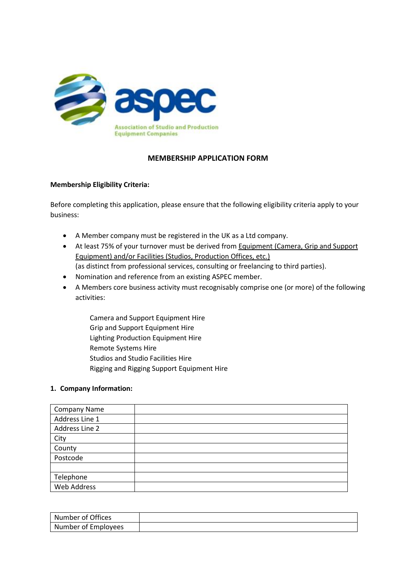

# **MEMBERSHIP APPLICATION FORM**

## **Membership Eligibility Criteria:**

Before completing this application, please ensure that the following eligibility criteria apply to your business:

- A Member company must be registered in the UK as a Ltd company.
- At least 75% of your turnover must be derived from Equipment (Camera, Grip and Support Equipment) and/or Facilities (Studios, Production Offices, etc.) (as distinct from professional services, consulting or freelancing to third parties).
- Nomination and reference from an existing ASPEC member.
- A Members core business activity must recognisably comprise one (or more) of the following activities:
	- Camera and Support Equipment Hire Grip and Support Equipment Hire Lighting Production Equipment Hire Remote Systems Hire Studios and Studio Facilities Hire Rigging and Rigging Support Equipment Hire

## **1. Company Information:**

| <b>Company Name</b> |  |
|---------------------|--|
| Address Line 1      |  |
| Address Line 2      |  |
| City                |  |
| County              |  |
| Postcode            |  |
|                     |  |
| Telephone           |  |
| Web Address         |  |

| Number of Offices   |  |
|---------------------|--|
| Number of Employees |  |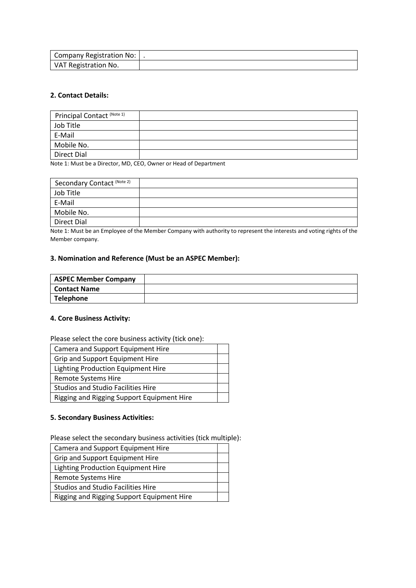| Company Registration No:  . |  |
|-----------------------------|--|
| VAT Registration No.        |  |

## **2. Contact Details:**

| Principal Contact (Note 1) |  |
|----------------------------|--|
| Job Title                  |  |
| E-Mail                     |  |
| Mobile No.                 |  |
| Direct Dial                |  |

Note 1: Must be a Director, MD, CEO, Owner or Head of Department

| Secondary Contact (Note 2) |  |
|----------------------------|--|
| Job Title                  |  |
| E-Mail                     |  |
| Mobile No.                 |  |
| Direct Dial                |  |

Note 1: Must be an Employee of the Member Company with authority to represent the interests and voting rights of the Member company.

## **3. Nomination and Reference (Must be an ASPEC Member):**

| <b>ASPEC Member Company</b> |  |
|-----------------------------|--|
| l Contact Name              |  |
| Telephone                   |  |

## **4. Core Business Activity:**

Please select the core business activity (tick one):

| Camera and Support Equipment Hire          |  |
|--------------------------------------------|--|
| Grip and Support Equipment Hire            |  |
| <b>Lighting Production Equipment Hire</b>  |  |
| <b>Remote Systems Hire</b>                 |  |
| <b>Studios and Studio Facilities Hire</b>  |  |
| Rigging and Rigging Support Equipment Hire |  |

#### **5. Secondary Business Activities:**

Please select the secondary business activities (tick multiple):

| Camera and Support Equipment Hire          |  |
|--------------------------------------------|--|
| Grip and Support Equipment Hire            |  |
| Lighting Production Equipment Hire         |  |
| <b>Remote Systems Hire</b>                 |  |
| <b>Studios and Studio Facilities Hire</b>  |  |
| Rigging and Rigging Support Equipment Hire |  |